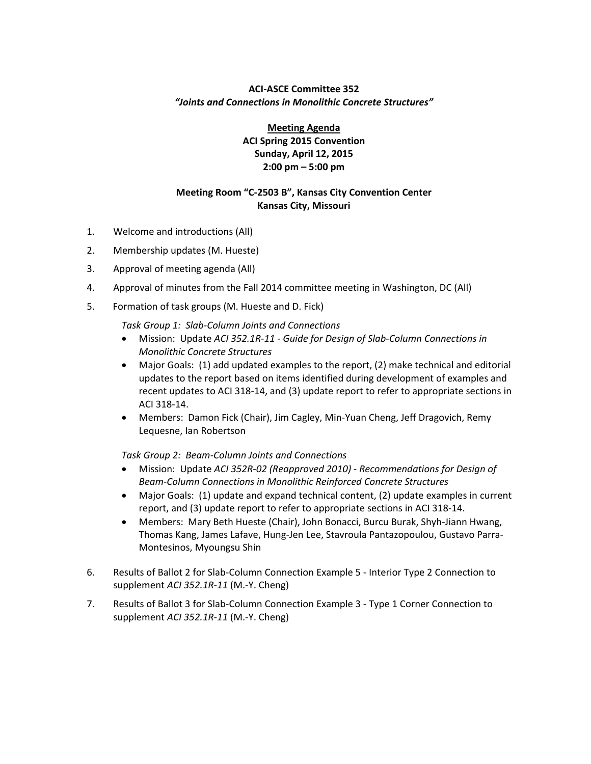## **ACI‐ASCE Committee 352** *"Joints and Connections in Monolithic Concrete Structures"*

**Meeting Agenda ACI Spring 2015 Convention Sunday, April 12, 2015 2:00 pm – 5:00 pm**

## **Meeting Room "C‐2503 B", Kansas City Convention Center Kansas City, Missouri**

- 1. Welcome and introductions (All)
- 2. Membership updates (M. Hueste)
- 3. Approval of meeting agenda (All)
- 4. Approval of minutes from the Fall 2014 committee meeting in Washington, DC (All)
- 5. Formation of task groups (M. Hueste and D. Fick)

*Task Group 1: Slab‐Column Joints and Connections*

- Mission: Update *ACI 352.1R‐11 ‐ Guide for Design of Slab‐Column Connections in Monolithic Concrete Structures*
- Major Goals: (1) add updated examples to the report, (2) make technical and editorial updates to the report based on items identified during development of examples and recent updates to ACI 318‐14, and (3) update report to refer to appropriate sections in ACI 318‐14.
- Members: Damon Fick (Chair), Jim Cagley, Min-Yuan Cheng, Jeff Dragovich, Remy Lequesne, Ian Robertson

*Task Group 2: Beam‐Column Joints and Connections*

- Mission: Update *ACI 352R‐02 (Reapproved 2010) ‐ Recommendations for Design of Beam‐Column Connections in Monolithic Reinforced Concrete Structures*
- Major Goals: (1) update and expand technical content, (2) update examples in current report, and (3) update report to refer to appropriate sections in ACI 318‐14.
- Members: Mary Beth Hueste (Chair), John Bonacci, Burcu Burak, Shyh‐Jiann Hwang, Thomas Kang, James Lafave, Hung‐Jen Lee, Stavroula Pantazopoulou, Gustavo Parra‐ Montesinos, Myoungsu Shin
- 6. Results of Ballot 2 for Slab‐Column Connection Example 5 ‐ Interior Type 2 Connection to supplement *ACI 352.1R‐11* (M.‐Y. Cheng)
- 7. Results of Ballot 3 for Slab-Column Connection Example 3 Type 1 Corner Connection to supplement *ACI 352.1R‐11* (M.‐Y. Cheng)